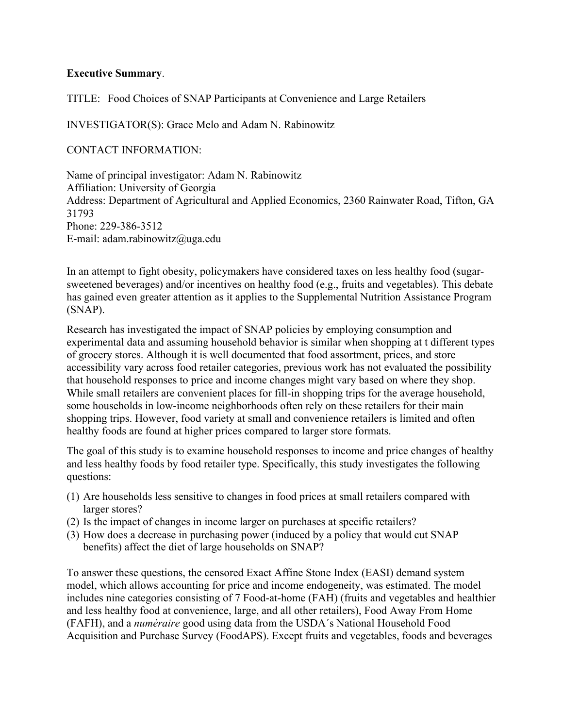## **Executive Summary**.

TITLE: Food Choices of SNAP Participants at Convenience and Large Retailers

INVESTIGATOR(S): Grace Melo and Adam N. Rabinowitz

CONTACT INFORMATION:

Name of principal investigator: Adam N. Rabinowitz Affiliation: University of Georgia Address: Department of Agricultural and Applied Economics, 2360 Rainwater Road, Tifton, GA 31793 Phone: 229-386-3512 E-mail: adam.rabinowitz@uga.edu

In an attempt to fight obesity, policymakers have considered taxes on less healthy food (sugarsweetened beverages) and/or incentives on healthy food (e.g., fruits and vegetables). This debate has gained even greater attention as it applies to the Supplemental Nutrition Assistance Program (SNAP).

Research has investigated the impact of SNAP policies by employing consumption and experimental data and assuming household behavior is similar when shopping at t different types of grocery stores. Although it is well documented that food assortment, prices, and store accessibility vary across food retailer categories, previous work has not evaluated the possibility that household responses to price and income changes might vary based on where they shop. While small retailers are convenient places for fill-in shopping trips for the average household, some households in low-income neighborhoods often rely on these retailers for their main shopping trips. However, food variety at small and convenience retailers is limited and often healthy foods are found at higher prices compared to larger store formats.

The goal of this study is to examine household responses to income and price changes of healthy and less healthy foods by food retailer type. Specifically, this study investigates the following questions:

- (1) Are households less sensitive to changes in food prices at small retailers compared with larger stores?
- (2) Is the impact of changes in income larger on purchases at specific retailers?
- (3) How does a decrease in purchasing power (induced by a policy that would cut SNAP benefits) affect the diet of large households on SNAP?

To answer these questions, the censored Exact Affine Stone Index (EASI) demand system model, which allows accounting for price and income endogeneity, was estimated. The model includes nine categories consisting of 7 Food-at-home (FAH) (fruits and vegetables and healthier and less healthy food at convenience, large, and all other retailers), Food Away From Home (FAFH), and a *numéraire* good using data from the USDA´s National Household Food Acquisition and Purchase Survey (FoodAPS). Except fruits and vegetables, foods and beverages